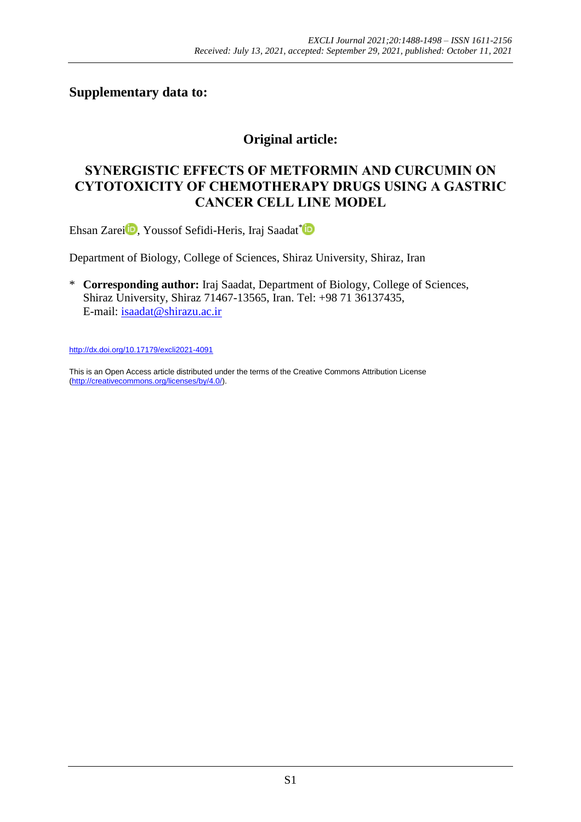# **Supplementary data to:**

# **Original article:**

# **SYNERGISTIC EFFECTS OF METFORMIN AND CURCUMIN ON CYTOTOXICITY OF CHEMOTHERAPY DRUGS USING A GASTRIC CANCER CELL LINE MODEL**

Ehsan Zarei<sup>D</sup>[,](https://orcid.org/0000-0001-5284-1133) Youssof Sefidi-Heris, Iraj Saadat\*D

Department of Biology, College of Sciences, Shiraz University, Shiraz, Iran

\* **Corresponding author:** Iraj Saadat, Department of Biology, College of Sciences, Shiraz University, Shiraz 71467-13565, Iran. Tel: +98 71 36137435, E-mail: [isaadat@shirazu.ac.ir](mailto:isaadat@shirazu.ac.ir)

<http://dx.doi.org/10.17179/excli2021-4091>

This is an Open Access article distributed under the terms of the Creative Commons Attribution License [\(http://creativecommons.org/licenses/by/4.0/\)](http://creativecommons.org/licenses/by/4.0/).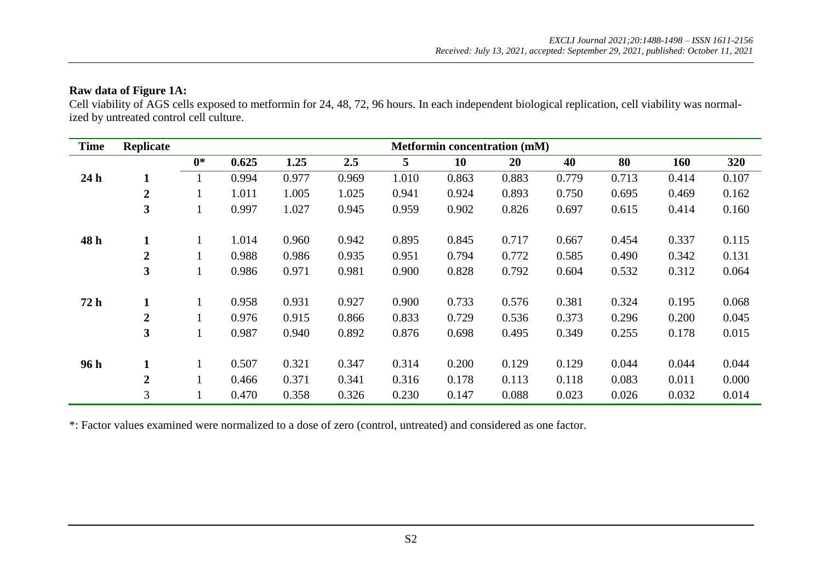### **Raw data of Figure 1A:**

Cell viability of AGS cells exposed to metformin for 24, 48, 72, 96 hours. In each independent biological replication, cell viability was normalized by untreated control cell culture.

| <b>Time</b>     | Replicate               |      |       |       |       |       |       | <b>Metformin concentration (mM)</b> |       |       |       |       |
|-----------------|-------------------------|------|-------|-------|-------|-------|-------|-------------------------------------|-------|-------|-------|-------|
|                 |                         | $0*$ | 0.625 | 1.25  | 2.5   | 5     | 10    | 20                                  | 40    | 80    | 160   | 320   |
| 24 <sub>h</sub> | 1                       |      | 0.994 | 0.977 | 0.969 | 1.010 | 0.863 | 0.883                               | 0.779 | 0.713 | 0.414 | 0.107 |
|                 | $\overline{2}$          |      | 1.011 | 1.005 | 1.025 | 0.941 | 0.924 | 0.893                               | 0.750 | 0.695 | 0.469 | 0.162 |
|                 | 3                       |      | 0.997 | 1.027 | 0.945 | 0.959 | 0.902 | 0.826                               | 0.697 | 0.615 | 0.414 | 0.160 |
| 48 h            | 1                       |      | 1.014 | 0.960 | 0.942 | 0.895 | 0.845 | 0.717                               | 0.667 | 0.454 | 0.337 | 0.115 |
|                 | $\boldsymbol{2}$        |      | 0.988 | 0.986 | 0.935 | 0.951 | 0.794 | 0.772                               | 0.585 | 0.490 | 0.342 | 0.131 |
|                 | $\overline{\mathbf{3}}$ |      | 0.986 | 0.971 | 0.981 | 0.900 | 0.828 | 0.792                               | 0.604 | 0.532 | 0.312 | 0.064 |
| 72h             | 1                       |      | 0.958 | 0.931 | 0.927 | 0.900 | 0.733 | 0.576                               | 0.381 | 0.324 | 0.195 | 0.068 |
|                 | $\overline{2}$          |      | 0.976 | 0.915 | 0.866 | 0.833 | 0.729 | 0.536                               | 0.373 | 0.296 | 0.200 | 0.045 |
|                 | 3                       |      | 0.987 | 0.940 | 0.892 | 0.876 | 0.698 | 0.495                               | 0.349 | 0.255 | 0.178 | 0.015 |
| 96 h            | 1                       |      | 0.507 | 0.321 | 0.347 | 0.314 | 0.200 | 0.129                               | 0.129 | 0.044 | 0.044 | 0.044 |
|                 | $\overline{2}$          |      | 0.466 | 0.371 | 0.341 | 0.316 | 0.178 | 0.113                               | 0.118 | 0.083 | 0.011 | 0.000 |
|                 | 3                       |      | 0.470 | 0.358 | 0.326 | 0.230 | 0.147 | 0.088                               | 0.023 | 0.026 | 0.032 | 0.014 |

\*: Factor values examined were normalized to a dose of zero (control, untreated) and considered as one factor.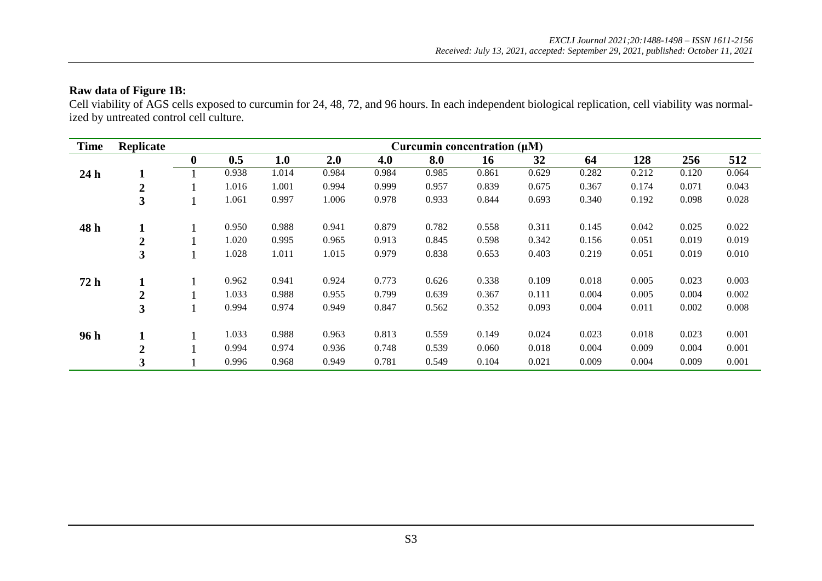### **Raw data of Figure 1B:**

Cell viability of AGS cells exposed to curcumin for 24, 48, 72, and 96 hours. In each independent biological replication, cell viability was normalized by untreated control cell culture.

| <b>Time</b>     | Replicate               |                  |       |       |       |       |       | Curcumin concentration $(\mu M)$ |       |       |       |       |       |
|-----------------|-------------------------|------------------|-------|-------|-------|-------|-------|----------------------------------|-------|-------|-------|-------|-------|
|                 |                         | $\boldsymbol{0}$ | 0.5   | 1.0   | 2.0   | 4.0   | 8.0   | 16                               | 32    | 64    | 128   | 256   | 512   |
| 24 <sub>h</sub> | T.                      |                  | 0.938 | 1.014 | 0.984 | 0.984 | 0.985 | 0.861                            | 0.629 | 0.282 | 0.212 | 0.120 | 0.064 |
|                 | $\boldsymbol{2}$        |                  | 1.016 | 1.001 | 0.994 | 0.999 | 0.957 | 0.839                            | 0.675 | 0.367 | 0.174 | 0.071 | 0.043 |
|                 | 3                       |                  | 1.061 | 0.997 | 1.006 | 0.978 | 0.933 | 0.844                            | 0.693 | 0.340 | 0.192 | 0.098 | 0.028 |
| 48 h            |                         |                  | 0.950 | 0.988 | 0.941 | 0.879 | 0.782 | 0.558                            | 0.311 | 0.145 | 0.042 | 0.025 | 0.022 |
|                 | $\boldsymbol{2}$        |                  | 1.020 | 0.995 | 0.965 | 0.913 | 0.845 | 0.598                            | 0.342 | 0.156 | 0.051 | 0.019 | 0.019 |
|                 | 3                       |                  | 1.028 | 1.011 | 1.015 | 0.979 | 0.838 | 0.653                            | 0.403 | 0.219 | 0.051 | 0.019 | 0.010 |
| 72h             |                         |                  | 0.962 | 0.941 | 0.924 | 0.773 | 0.626 | 0.338                            | 0.109 | 0.018 | 0.005 | 0.023 | 0.003 |
|                 | $\mathbf 2$             |                  | 1.033 | 0.988 | 0.955 | 0.799 | 0.639 | 0.367                            | 0.111 | 0.004 | 0.005 | 0.004 | 0.002 |
|                 | $\overline{\mathbf{3}}$ |                  | 0.994 | 0.974 | 0.949 | 0.847 | 0.562 | 0.352                            | 0.093 | 0.004 | 0.011 | 0.002 | 0.008 |
| 96h             |                         |                  | 1.033 | 0.988 | 0.963 | 0.813 | 0.559 | 0.149                            | 0.024 | 0.023 | 0.018 | 0.023 | 0.001 |
|                 | $\boldsymbol{2}$        |                  | 0.994 | 0.974 | 0.936 | 0.748 | 0.539 | 0.060                            | 0.018 | 0.004 | 0.009 | 0.004 | 0.001 |
|                 | 3                       |                  | 0.996 | 0.968 | 0.949 | 0.781 | 0.549 | 0.104                            | 0.021 | 0.009 | 0.004 | 0.009 | 0.001 |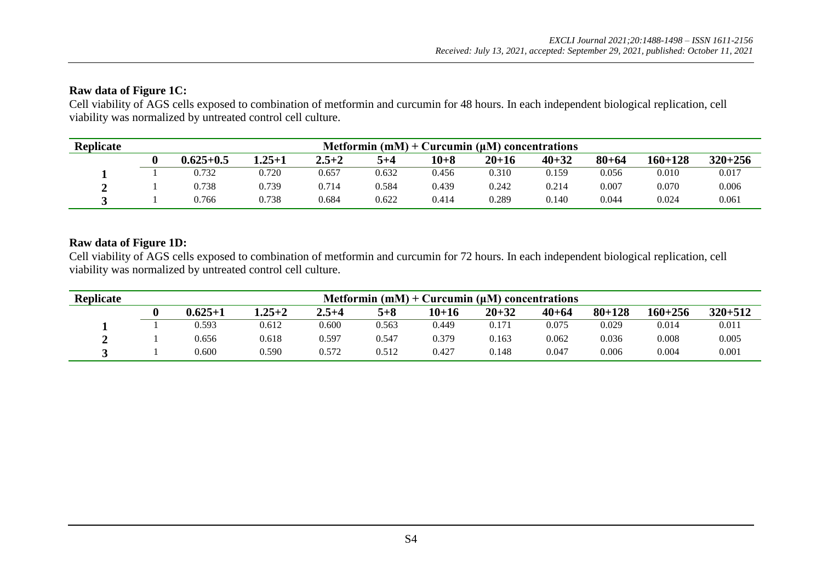### **Raw data of Figure 1C:**

Cell viability of AGS cells exposed to combination of metformin and curcumin for 48 hours. In each independent biological replication, cell viability was normalized by untreated control cell culture.

| <b>Replicate</b> | Metformin $(mM)$ + Curcumin $(\mu M)$ concentrations |            |           |       |        |           |           |           |             |             |  |  |  |
|------------------|------------------------------------------------------|------------|-----------|-------|--------|-----------|-----------|-----------|-------------|-------------|--|--|--|
|                  | $0.625 + 0.5$                                        | $1.25 + 1$ | $2.5 + 2$ | 5+4   | $10+8$ | $20 + 16$ | $40 + 32$ | $80 + 64$ | $160 + 128$ | $320 + 256$ |  |  |  |
|                  | 0.732                                                | 0.720      | 0.657     | 0.632 | 0.456  | 0.310     | 0.159     | 0.056     | 0.010       | 0.017       |  |  |  |
|                  | 0.738                                                | 0.739      | 0.714     | 0.584 | 0.439  | 0.242     | 0.214     | 0.007     | 0.070       | 0.006       |  |  |  |
|                  | 0.766                                                | 0.738      | 0.684     | 0.622 | 0.414  | 0.289     | 0.140     | 0.044     | 0.024       | 0.061       |  |  |  |

### **Raw data of Figure 1D:**

Cell viability of AGS cells exposed to combination of metformin and curcumin for 72 hours. In each independent biological replication, cell viability was normalized by untreated control cell culture.

| <b>Replicate</b> | Metformin $(mM)$ + Curcumin $(\mu M)$ concentrations |            |           |         |           |           |           |            |             |             |  |  |  |
|------------------|------------------------------------------------------|------------|-----------|---------|-----------|-----------|-----------|------------|-------------|-------------|--|--|--|
|                  | $0.625 + 1$                                          | $1.25 + 2$ | $2.5 + 4$ | $5 + 8$ | $10 + 16$ | $20 + 32$ | $40 + 64$ | $80 + 128$ | $160 + 256$ | $320 + 512$ |  |  |  |
|                  | 0.593                                                | 0.612      | 0.600     | 0.563   | 0.449     | 0.171     | 0.075     | 0.029      | 0.014       | 0.011       |  |  |  |
|                  | 0.656                                                | 0.618      | 0.597     | 0.547   | 0.379     | 0.163     | 0.062     | 0.036      | 0.008       | 0.005       |  |  |  |
|                  | 0.600                                                | 0.590      | 0.572     | 0.512   | 0.427     | 0.148     | 0.047     | 0.006      | 0.004       | 0.001       |  |  |  |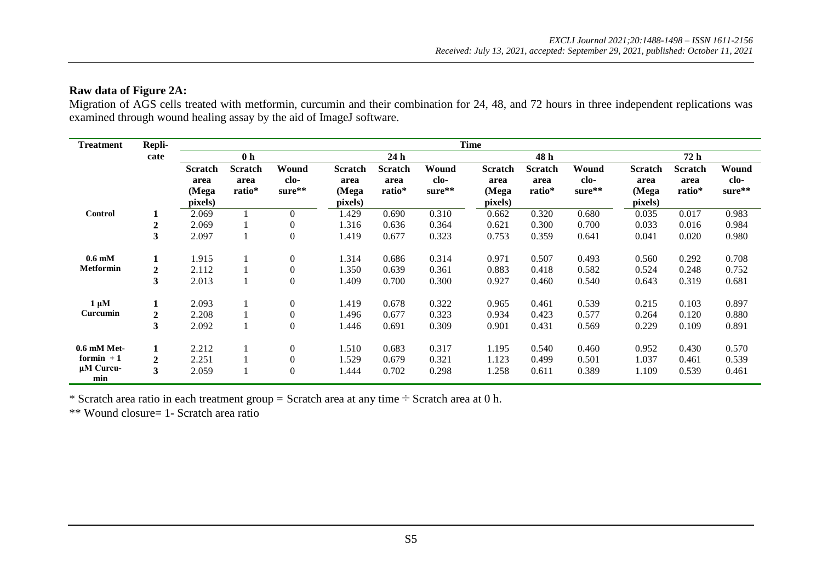#### **Raw data of Figure 2A:**

Migration of AGS cells treated with metformin, curcumin and their combination for 24, 48, and 72 hours in three independent replications was examined through wound healing assay by the aid of ImageJ software.

| <b>Treatment</b>          | Repli-           |                |                |                  |                |                |        | <b>Time</b>    |                |        |                |                |        |
|---------------------------|------------------|----------------|----------------|------------------|----------------|----------------|--------|----------------|----------------|--------|----------------|----------------|--------|
|                           | cate             |                | 0 <sub>h</sub> |                  |                | 24h            |        |                | 48 h           |        |                | 72 h           |        |
|                           |                  | <b>Scratch</b> | <b>Scratch</b> | Wound            | <b>Scratch</b> | <b>Scratch</b> | Wound  | <b>Scratch</b> | <b>Scratch</b> | Wound  | <b>Scratch</b> | <b>Scratch</b> | Wound  |
|                           |                  | area           | area           | clo-             | area           | area           | clo-   | area           | area           | clo-   | area           | area           | clo-   |
|                           |                  | (Mega          | ratio*         | sure**           | (Mega          | ratio*         | sure** | (Mega          | ratio*         | sure** | (Mega          | ratio*         | sure** |
|                           |                  | pixels)        |                |                  | pixels)        |                |        | pixels)        |                |        | pixels)        |                |        |
| <b>Control</b>            |                  | 2.069          |                | $\overline{0}$   | 1.429          | 0.690          | 0.310  | 0.662          | 0.320          | 0.680  | 0.035          | 0.017          | 0.983  |
|                           | $\overline{2}$   | 2.069          |                | $\boldsymbol{0}$ | 1.316          | 0.636          | 0.364  | 0.621          | 0.300          | 0.700  | 0.033          | 0.016          | 0.984  |
|                           | 3                | 2.097          |                | $\boldsymbol{0}$ | 1.419          | 0.677          | 0.323  | 0.753          | 0.359          | 0.641  | 0.041          | 0.020          | 0.980  |
| $0.6 \text{ }\mathrm{mM}$ | 1                | 1.915          |                | $\boldsymbol{0}$ | 1.314          | 0.686          | 0.314  | 0.971          | 0.507          | 0.493  | 0.560          | 0.292          | 0.708  |
| <b>Metformin</b>          | $\boldsymbol{2}$ | 2.112          |                | $\boldsymbol{0}$ | 1.350          | 0.639          | 0.361  | 0.883          | 0.418          | 0.582  | 0.524          | 0.248          | 0.752  |
|                           | 3                | 2.013          |                | $\boldsymbol{0}$ | 1.409          | 0.700          | 0.300  | 0.927          | 0.460          | 0.540  | 0.643          | 0.319          | 0.681  |
| $1 \mu M$                 |                  | 2.093          |                | $\boldsymbol{0}$ | 1.419          | 0.678          | 0.322  | 0.965          | 0.461          | 0.539  | 0.215          | 0.103          | 0.897  |
| Curcumin                  | $\boldsymbol{2}$ | 2.208          |                | $\boldsymbol{0}$ | 1.496          | 0.677          | 0.323  | 0.934          | 0.423          | 0.577  | 0.264          | 0.120          | 0.880  |
|                           | 3                | 2.092          |                | $\boldsymbol{0}$ | 1.446          | 0.691          | 0.309  | 0.901          | 0.431          | 0.569  | 0.229          | 0.109          | 0.891  |
| $0.6$ mM Met-             | $\mathbf{1}$     | 2.212          |                | $\boldsymbol{0}$ | 1.510          | 0.683          | 0.317  | 1.195          | 0.540          | 0.460  | 0.952          | 0.430          | 0.570  |
| formin $+1$               | $\boldsymbol{2}$ | 2.251          |                | $\boldsymbol{0}$ | 1.529          | 0.679          | 0.321  | 1.123          | 0.499          | 0.501  | 1.037          | 0.461          | 0.539  |
| $\mu$ M Curcu-            | $\mathbf{3}$     | 2.059          |                | $\boldsymbol{0}$ | 1.444          | 0.702          | 0.298  | 1.258          | 0.611          | 0.389  | 1.109          | 0.539          | 0.461  |
| min                       |                  |                |                |                  |                |                |        |                |                |        |                |                |        |

\* Scratch area ratio in each treatment group = Scratch area at any time  $\div$  Scratch area at 0 h.

\*\* Wound closure= 1- Scratch area ratio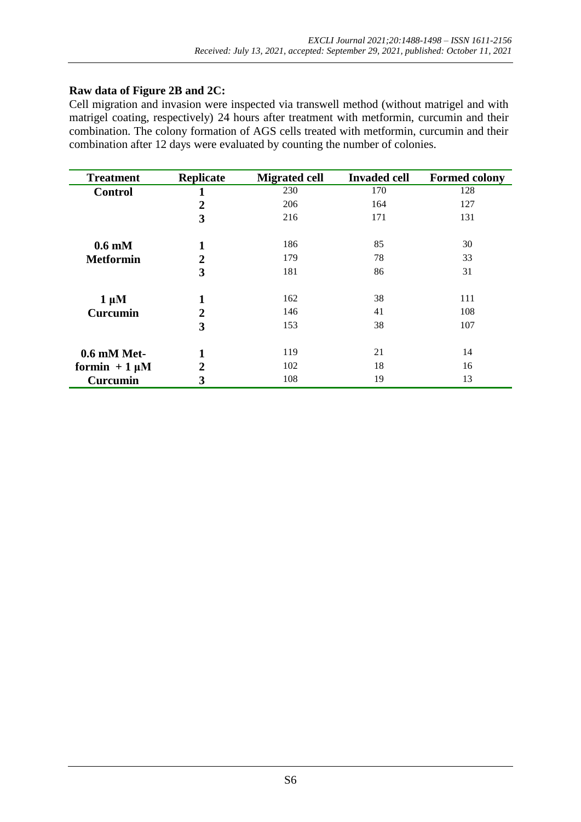### **Raw data of Figure 2B and 2C:**

Cell migration and invasion were inspected via transwell method (without matrigel and with matrigel coating, respectively) 24 hours after treatment with metformin, curcumin and their combination. The colony formation of AGS cells treated with metformin, curcumin and their combination after 12 days were evaluated by counting the number of colonies.

| <b>Treatment</b>  | <b>Replicate</b>        | <b>Migrated cell</b> | <b>Invaded cell</b> | <b>Formed colony</b> |
|-------------------|-------------------------|----------------------|---------------------|----------------------|
| <b>Control</b>    | 1                       | 230                  | 170                 | 128                  |
|                   | $\overline{2}$          | 206                  | 164                 | 127                  |
|                   | 3                       | 216                  | 171                 | 131                  |
| $0.6 \text{ mM}$  | 1                       | 186                  | 85                  | 30                   |
| <b>Metformin</b>  | $\overline{\mathbf{2}}$ | 179                  | 78                  | 33                   |
|                   | 3                       | 181                  | 86                  | 31                   |
| $1 \mu M$         | 1                       | 162                  | 38                  | 111                  |
| <b>Curcumin</b>   | $\overline{2}$          | 146                  | 41                  | 108                  |
|                   | 3                       | 153                  | 38                  | 107                  |
| $0.6$ mM Met-     | 1                       | 119                  | 21                  | 14                   |
| formin $+1 \mu M$ | 2                       | 102                  | 18                  | 16                   |
| <b>Curcumin</b>   | 3                       | 108                  | 19                  | 13                   |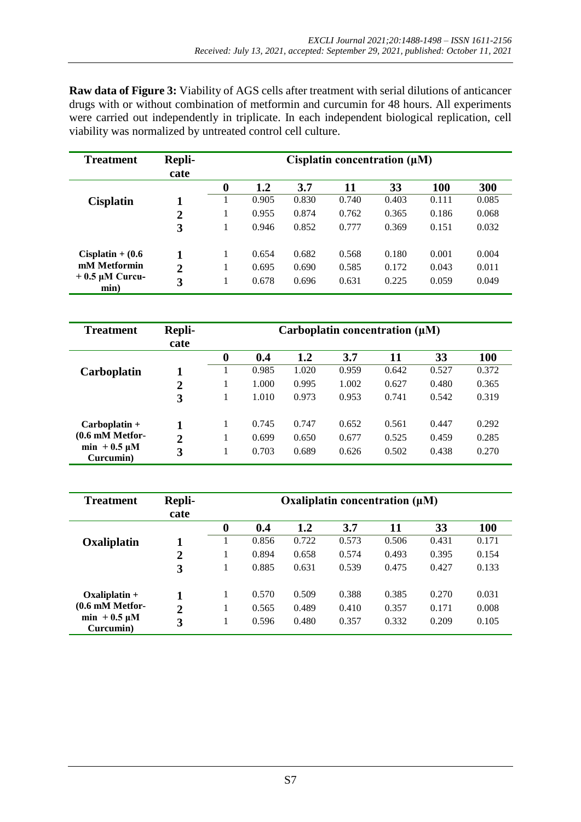**Raw data of Figure 3:** Viability of AGS cells after treatment with serial dilutions of anticancer drugs with or without combination of metformin and curcumin for 48 hours. All experiments were carried out independently in triplicate. In each independent biological replication, cell viability was normalized by untreated control cell culture.

| <b>Treatment</b>            | Repli-         | Cisplatin concentration $(\mu M)$ |       |       |       |       |       |       |  |  |  |
|-----------------------------|----------------|-----------------------------------|-------|-------|-------|-------|-------|-------|--|--|--|
|                             | cate           |                                   |       |       |       |       |       |       |  |  |  |
|                             |                | 0                                 | 1.2   | 3.7   | 11    | 33    | 100   | 300   |  |  |  |
| <b>Cisplatin</b>            |                |                                   | 0.905 | 0.830 | 0.740 | 0.403 | 0.111 | 0.085 |  |  |  |
|                             | 2              | л.                                | 0.955 | 0.874 | 0.762 | 0.365 | 0.186 | 0.068 |  |  |  |
|                             | 3              |                                   | 0.946 | 0.852 | 0.777 | 0.369 | 0.151 | 0.032 |  |  |  |
| $Cisplatin + (0.6$          |                | 1                                 | 0.654 | 0.682 | 0.568 | 0.180 | 0.001 | 0.004 |  |  |  |
| mM Metformin                | $\overline{2}$ |                                   | 0.695 | 0.690 | 0.585 | 0.172 | 0.043 | 0.011 |  |  |  |
| $+0.5 \mu M$ Curcu-<br>min) | 3              |                                   | 0.678 | 0.696 | 0.631 | 0.225 | 0.059 | 0.049 |  |  |  |

| <b>Treatment</b>               | Repli-<br>cate | Carboplatin concentration $(\mu M)$ |       |       |       |       |       |            |  |  |  |
|--------------------------------|----------------|-------------------------------------|-------|-------|-------|-------|-------|------------|--|--|--|
|                                |                | $\boldsymbol{0}$                    | 0.4   | 1.2   | 3.7   | 11    | 33    | <b>100</b> |  |  |  |
| <b>Carboplatin</b>             | 1              |                                     | 0.985 | 1.020 | 0.959 | 0.642 | 0.527 | 0.372      |  |  |  |
|                                | $\overline{2}$ |                                     | 1.000 | 0.995 | 1.002 | 0.627 | 0.480 | 0.365      |  |  |  |
|                                | 3              | л.                                  | 1.010 | 0.973 | 0.953 | 0.741 | 0.542 | 0.319      |  |  |  |
| $Carboplation +$               |                | 1                                   | 0.745 | 0.747 | 0.652 | 0.561 | 0.447 | 0.292      |  |  |  |
| $(0.6 \text{ mM Metfor}$       | $\overline{2}$ |                                     | 0.699 | 0.650 | 0.677 | 0.525 | 0.459 | 0.285      |  |  |  |
| $min + 0.5 \mu M$<br>Curcumin) | 3              |                                     | 0.703 | 0.689 | 0.626 | 0.502 | 0.438 | 0.270      |  |  |  |

| <b>Treatment</b>               | Repli-<br>cate | Oxaliplatin concentration $(\mu M)$ |       |       |       |       |       |       |  |  |  |
|--------------------------------|----------------|-------------------------------------|-------|-------|-------|-------|-------|-------|--|--|--|
|                                |                | 0                                   | 0.4   | 1.2   | 3.7   | 11    | 33    | 100   |  |  |  |
| Oxaliplatin                    |                |                                     | 0.856 | 0.722 | 0.573 | 0.506 | 0.431 | 0.171 |  |  |  |
|                                | $\overline{2}$ |                                     | 0.894 | 0.658 | 0.574 | 0.493 | 0.395 | 0.154 |  |  |  |
|                                | 3              |                                     | 0.885 | 0.631 | 0.539 | 0.475 | 0.427 | 0.133 |  |  |  |
| $Oxaliplatin +$                |                | 1                                   | 0.570 | 0.509 | 0.388 | 0.385 | 0.270 | 0.031 |  |  |  |
| $(0.6 \text{ mM Metfor}$       | $\overline{2}$ |                                     | 0.565 | 0.489 | 0.410 | 0.357 | 0.171 | 0.008 |  |  |  |
| $min + 0.5 \mu M$<br>Curcumin) | 3              |                                     | 0.596 | 0.480 | 0.357 | 0.332 | 0.209 | 0.105 |  |  |  |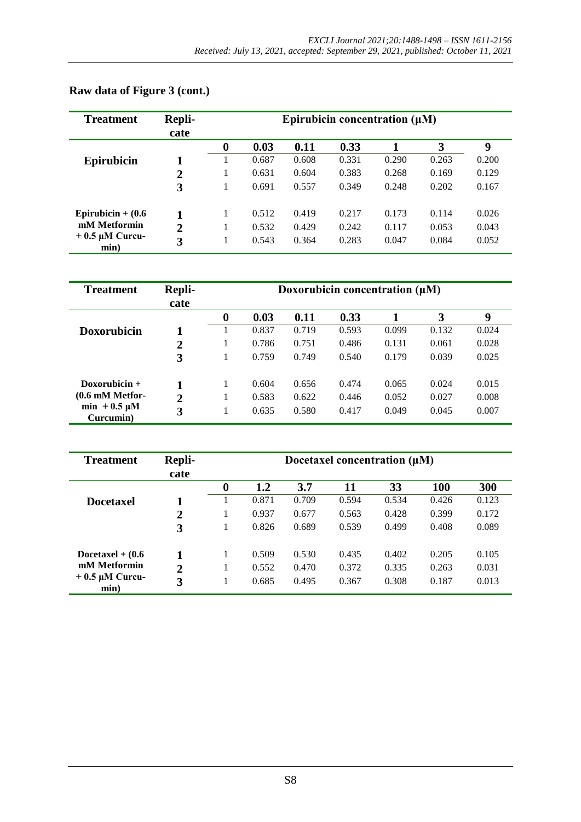| <b>Treatment</b>            | Repli-         | Epirubicin concentration $(\mu M)$ |       |       |       |       |       |       |  |  |  |
|-----------------------------|----------------|------------------------------------|-------|-------|-------|-------|-------|-------|--|--|--|
|                             | cate           |                                    |       |       |       |       |       |       |  |  |  |
|                             |                | $\boldsymbol{0}$                   | 0.03  | 0.11  | 0.33  |       | 3     | 9     |  |  |  |
| <b>Epirubicin</b>           |                |                                    | 0.687 | 0.608 | 0.331 | 0.290 | 0.263 | 0.200 |  |  |  |
|                             | $\overline{2}$ |                                    | 0.631 | 0.604 | 0.383 | 0.268 | 0.169 | 0.129 |  |  |  |
|                             | 3              |                                    | 0.691 | 0.557 | 0.349 | 0.248 | 0.202 | 0.167 |  |  |  |
| Epirubicin + $(0.6)$        |                | $\mathbf{I}$                       | 0.512 | 0.419 | 0.217 | 0.173 | 0.114 | 0.026 |  |  |  |
| mM Metformin                | $\overline{2}$ |                                    | 0.532 | 0.429 | 0.242 | 0.117 | 0.053 | 0.043 |  |  |  |
| $+0.5 \mu M$ Curcu-<br>min) | 3              |                                    | 0.543 | 0.364 | 0.283 | 0.047 | 0.084 | 0.052 |  |  |  |

# **Raw data of Figure 3 (cont.)**

| <b>Treatment</b>               | Repli-         | Doxorubicin concentration $(\mu M)$ |       |       |       |       |       |       |  |  |  |
|--------------------------------|----------------|-------------------------------------|-------|-------|-------|-------|-------|-------|--|--|--|
|                                | cate           |                                     |       |       |       |       |       |       |  |  |  |
|                                |                | $\boldsymbol{0}$                    | 0.03  | 0.11  | 0.33  |       | 3     | 9     |  |  |  |
| <b>Doxorubicin</b>             |                |                                     | 0.837 | 0.719 | 0.593 | 0.099 | 0.132 | 0.024 |  |  |  |
|                                | $\overline{2}$ |                                     | 0.786 | 0.751 | 0.486 | 0.131 | 0.061 | 0.028 |  |  |  |
|                                | 3              |                                     | 0.759 | 0.749 | 0.540 | 0.179 | 0.039 | 0.025 |  |  |  |
| Doxorubicin $+$                |                | -1                                  | 0.604 | 0.656 | 0.474 | 0.065 | 0.024 | 0.015 |  |  |  |
| $(0.6 \text{ mM Metfor}$       | $\overline{2}$ |                                     | 0.583 | 0.622 | 0.446 | 0.052 | 0.027 | 0.008 |  |  |  |
| $min + 0.5 \mu M$<br>Curcumin) | 3              |                                     | 0.635 | 0.580 | 0.417 | 0.049 | 0.045 | 0.007 |  |  |  |

| <b>Treatment</b>         | Repli-<br>cate | Docetaxel concentration $(\mu M)$ |       |       |       |       |            |       |  |  |  |
|--------------------------|----------------|-----------------------------------|-------|-------|-------|-------|------------|-------|--|--|--|
|                          |                | $\boldsymbol{0}$                  | 1.2   | 3.7   | 11    | 33    | <b>100</b> | 300   |  |  |  |
| <b>Docetaxel</b>         |                |                                   | 0.871 | 0.709 | 0.594 | 0.534 | 0.426      | 0.123 |  |  |  |
|                          | $\mathbf 2$    | 1                                 | 0.937 | 0.677 | 0.563 | 0.428 | 0.399      | 0.172 |  |  |  |
|                          | 3              |                                   | 0.826 | 0.689 | 0.539 | 0.499 | 0.408      | 0.089 |  |  |  |
| Docetaxel $+$ (0.6)      |                | 1                                 | 0.509 | 0.530 | 0.435 | 0.402 | 0.205      | 0.105 |  |  |  |
| mM Metformin             | $\overline{2}$ |                                   | 0.552 | 0.470 | 0.372 | 0.335 | 0.263      | 0.031 |  |  |  |
| $+0.5$ µM Curcu-<br>min) | 3              |                                   | 0.685 | 0.495 | 0.367 | 0.308 | 0.187      | 0.013 |  |  |  |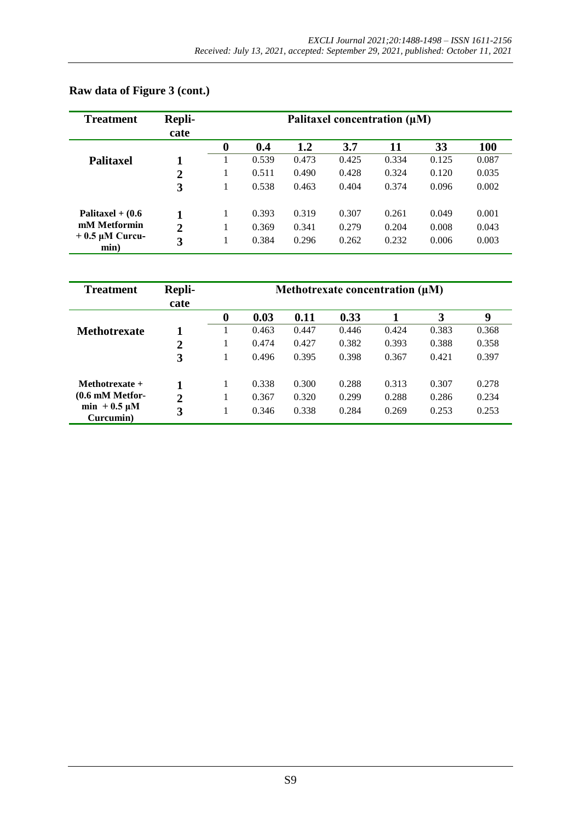| <b>Treatment</b>            | Repli-         | Palitaxel concentration $(\mu M)$ |       |       |       |       |       |            |  |  |  |
|-----------------------------|----------------|-----------------------------------|-------|-------|-------|-------|-------|------------|--|--|--|
|                             | cate           |                                   |       |       |       |       |       |            |  |  |  |
|                             |                | $\boldsymbol{0}$                  | 0.4   | 1.2   | 3.7   | 11    | 33    | <b>100</b> |  |  |  |
| <b>Palitaxel</b>            |                |                                   | 0.539 | 0.473 | 0.425 | 0.334 | 0.125 | 0.087      |  |  |  |
|                             | $\overline{2}$ |                                   | 0.511 | 0.490 | 0.428 | 0.324 | 0.120 | 0.035      |  |  |  |
|                             | 3              |                                   | 0.538 | 0.463 | 0.404 | 0.374 | 0.096 | 0.002      |  |  |  |
| Palitaxel + $(0.6)$         |                | 1                                 | 0.393 | 0.319 | 0.307 | 0.261 | 0.049 | 0.001      |  |  |  |
| mM Metformin                | $\overline{2}$ |                                   | 0.369 | 0.341 | 0.279 | 0.204 | 0.008 | 0.043      |  |  |  |
| $+0.5 \mu M$ Curcu-<br>min) | 3              |                                   | 0.384 | 0.296 | 0.262 | 0.232 | 0.006 | 0.003      |  |  |  |

## **Raw data of Figure 3 (cont.)**

| <b>Treatment</b>               | Repli-<br>cate | Methotrexate concentration $(\mu M)$ |       |       |       |       |       |       |  |  |
|--------------------------------|----------------|--------------------------------------|-------|-------|-------|-------|-------|-------|--|--|
|                                |                | 0                                    | 0.03  | 0.11  | 0.33  |       | 3     | 9     |  |  |
| <b>Methotrexate</b>            |                |                                      | 0.463 | 0.447 | 0.446 | 0.424 | 0.383 | 0.368 |  |  |
|                                | $\overline{2}$ |                                      | 0.474 | 0.427 | 0.382 | 0.393 | 0.388 | 0.358 |  |  |
|                                | 3              |                                      | 0.496 | 0.395 | 0.398 | 0.367 | 0.421 | 0.397 |  |  |
| Methotrexate $+$               |                | 1                                    | 0.338 | 0.300 | 0.288 | 0.313 | 0.307 | 0.278 |  |  |
| $(0.6 \text{ mM Metfor}$       | $\overline{2}$ |                                      | 0.367 | 0.320 | 0.299 | 0.288 | 0.286 | 0.234 |  |  |
| $min + 0.5 \mu M$<br>Curcumin) | 3              |                                      | 0.346 | 0.338 | 0.284 | 0.269 | 0.253 | 0.253 |  |  |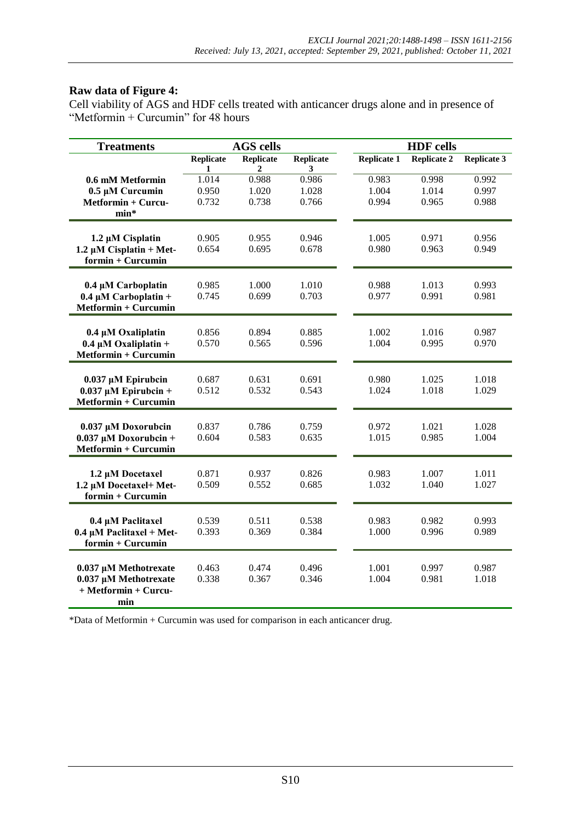### **Raw data of Figure 4:**

Cell viability of AGS and HDF cells treated with anticancer drugs alone and in presence of "Metformin + Curcumin" for 48 hours

| <b>Treatments</b>             |                       | <b>AGS cells</b>      |                                  |             | <b>HDF</b> cells   |                    |
|-------------------------------|-----------------------|-----------------------|----------------------------------|-------------|--------------------|--------------------|
|                               | <b>Replicate</b><br>1 | <b>Replicate</b><br>2 | <b>Replicate</b><br>$\mathbf{3}$ | Replicate 1 | <b>Replicate 2</b> | <b>Replicate 3</b> |
| 0.6 mM Metformin              | 1.014                 | 0.988                 | 0.986                            | 0.983       | 0.998              | 0.992              |
| 0.5 µM Curcumin               | 0.950                 | 1.020                 | 1.028                            | 1.004       | 1.014              | 0.997              |
| Metformin + Curcu-            | 0.732                 | 0.738                 | 0.766                            | 0.994       | 0.965              | 0.988              |
| $min*$                        |                       |                       |                                  |             |                    |                    |
|                               |                       |                       |                                  |             |                    |                    |
| 1.2 µM Cisplatin              | 0.905                 | 0.955                 | 0.946                            | 1.005       | 0.971              | 0.956              |
| 1.2 $\mu$ M Cisplatin + Met-  | 0.654                 | 0.695                 | 0.678                            | 0.980       | 0.963              | 0.949              |
| $formin + Curcumin$           |                       |                       |                                  |             |                    |                    |
| 0.4 µM Carboplatin            | 0.985                 | 1.000                 | 1.010                            | 0.988       | 1.013              | 0.993              |
| $0.4 \mu M$ Carboplatin +     | 0.745                 | 0.699                 | 0.703                            | 0.977       | 0.991              | 0.981              |
| Metformin + Curcumin          |                       |                       |                                  |             |                    |                    |
|                               |                       |                       |                                  |             |                    |                    |
| 0.4 µM Oxaliplatin            | 0.856                 | 0.894                 | 0.885                            | 1.002       | 1.016              | 0.987              |
| $0.4 \mu M$ Oxaliplatin +     | 0.570                 | 0.565                 | 0.596                            | 1.004       | 0.995              | 0.970              |
| Metformin + Curcumin          |                       |                       |                                  |             |                    |                    |
| $0.037 \mu M$ Epirubcin       | 0.687                 | 0.631                 | 0.691                            | 0.980       | 1.025              | 1.018              |
| $0.037 \mu M$ Epirubcin +     | 0.512                 | 0.532                 | 0.543                            | 1.024       | 1.018              | 1.029              |
| Metformin + Curcumin          |                       |                       |                                  |             |                    |                    |
|                               |                       |                       |                                  |             |                    |                    |
| 0.037 µM Doxorubcin           | 0.837                 | 0.786                 | 0.759                            | 0.972       | 1.021              | 1.028              |
| $0.037 \mu M$ Doxorubcin +    | 0.604                 | 0.583                 | 0.635                            | 1.015       | 0.985              | 1.004              |
| Metformin + Curcumin          |                       |                       |                                  |             |                    |                    |
| 1.2 µM Docetaxel              | 0.871                 | 0.937                 | 0.826                            | 0.983       | 1.007              | 1.011              |
| 1.2 µM Docetaxel+ Met-        | 0.509                 | 0.552                 | 0.685                            | 1.032       | 1.040              | 1.027              |
| $formin + Curcumin$           |                       |                       |                                  |             |                    |                    |
|                               |                       |                       |                                  |             |                    |                    |
| 0.4 µM Paclitaxel             | 0.539                 | 0.511                 | 0.538                            | 0.983       | 0.982              | 0.993              |
| $0.4 \mu M$ Paclitaxel + Met- | 0.393                 | 0.369                 | 0.384                            | 1.000       | 0.996              | 0.989              |
| formin + Curcumin             |                       |                       |                                  |             |                    |                    |
| 0.037 µM Methotrexate         | 0.463                 | 0.474                 | 0.496                            | 1.001       | 0.997              | 0.987              |
| 0.037 µM Methotrexate         | 0.338                 | 0.367                 | 0.346                            | 1.004       | 0.981              | 1.018              |
| + Metformin + Curcu-          |                       |                       |                                  |             |                    |                    |
| min                           |                       |                       |                                  |             |                    |                    |

\*Data of Metformin + Curcumin was used for comparison in each anticancer drug.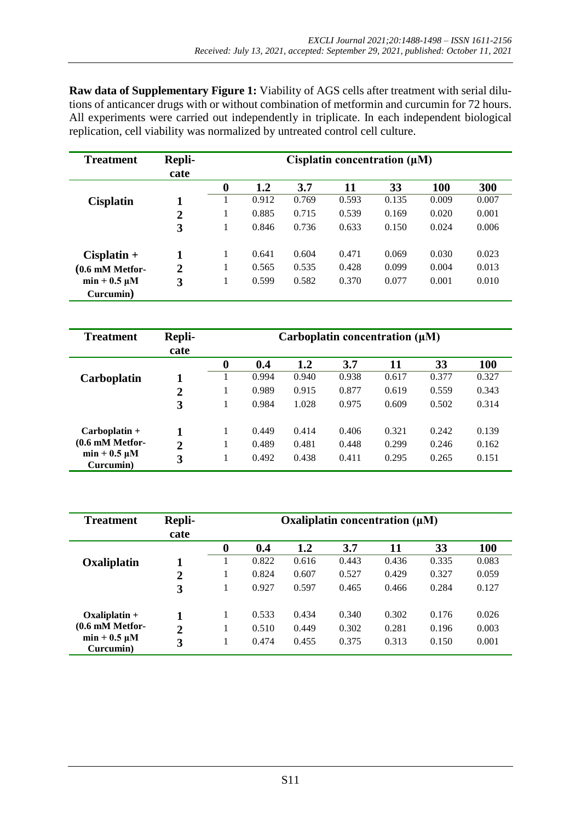**Raw data of Supplementary Figure 1:** Viability of AGS cells after treatment with serial dilutions of anticancer drugs with or without combination of metformin and curcumin for 72 hours. All experiments were carried out independently in triplicate. In each independent biological replication, cell viability was normalized by untreated control cell culture.

| <b>Treatment</b>         | Repli-         | Cisplatin concentration $(\mu M)$ |       |       |       |       |            |       |  |  |
|--------------------------|----------------|-----------------------------------|-------|-------|-------|-------|------------|-------|--|--|
|                          | cate           |                                   |       |       |       |       |            |       |  |  |
|                          |                | $\boldsymbol{0}$                  | 1.2   | 3.7   | 11    | 33    | <b>100</b> | 300   |  |  |
| <b>Cisplatin</b>         | 1              |                                   | 0.912 | 0.769 | 0.593 | 0.135 | 0.009      | 0.007 |  |  |
|                          | $\overline{2}$ | 1                                 | 0.885 | 0.715 | 0.539 | 0.169 | 0.020      | 0.001 |  |  |
|                          | 3              |                                   | 0.846 | 0.736 | 0.633 | 0.150 | 0.024      | 0.006 |  |  |
| $Cisplatin +$            |                | 1                                 | 0.641 | 0.604 | 0.471 | 0.069 | 0.030      | 0.023 |  |  |
| $(0.6 \text{ mM Metfor}$ | $\overline{2}$ | -                                 | 0.565 | 0.535 | 0.428 | 0.099 | 0.004      | 0.013 |  |  |
| $min + 0.5 \mu M$        | 3              | 1                                 | 0.599 | 0.582 | 0.370 | 0.077 | 0.001      | 0.010 |  |  |
| Curcumin)                |                |                                   |       |       |       |       |            |       |  |  |

| <b>Treatment</b>               | <b>Repli-</b><br>cate | Carboplatin concentration $(\mu M)$ |       |       |       |       |       |            |  |  |  |
|--------------------------------|-----------------------|-------------------------------------|-------|-------|-------|-------|-------|------------|--|--|--|
|                                |                       | $\boldsymbol{0}$                    | 0.4   | 1.2   | 3.7   | 11    | 33    | <b>100</b> |  |  |  |
| Carboplatin                    |                       |                                     | 0.994 | 0.940 | 0.938 | 0.617 | 0.377 | 0.327      |  |  |  |
|                                | $\overline{2}$        |                                     | 0.989 | 0.915 | 0.877 | 0.619 | 0.559 | 0.343      |  |  |  |
|                                | 3                     |                                     | 0.984 | 1.028 | 0.975 | 0.609 | 0.502 | 0.314      |  |  |  |
| $Carboplation +$               |                       | 1                                   | 0.449 | 0.414 | 0.406 | 0.321 | 0.242 | 0.139      |  |  |  |
| $(0.6 \text{ mM Metfor}$       | $\overline{2}$        | ı                                   | 0.489 | 0.481 | 0.448 | 0.299 | 0.246 | 0.162      |  |  |  |
| $min + 0.5 \mu M$<br>Curcumin) | 3                     | л                                   | 0.492 | 0.438 | 0.411 | 0.295 | 0.265 | 0.151      |  |  |  |

| <b>Treatment</b>               | Repli-<br>cate | Oxaliplatin concentration $(\mu M)$ |       |       |       |       |       |            |  |  |
|--------------------------------|----------------|-------------------------------------|-------|-------|-------|-------|-------|------------|--|--|
|                                |                | $\boldsymbol{0}$                    | 0.4   | 1.2   | 3.7   | 11    | 33    | <b>100</b> |  |  |
| Oxaliplatin                    |                |                                     | 0.822 | 0.616 | 0.443 | 0.436 | 0.335 | 0.083      |  |  |
|                                | $\overline{2}$ |                                     | 0.824 | 0.607 | 0.527 | 0.429 | 0.327 | 0.059      |  |  |
|                                | 3              | 1                                   | 0.927 | 0.597 | 0.465 | 0.466 | 0.284 | 0.127      |  |  |
| $Oxaliplation +$               |                | 1                                   | 0.533 | 0.434 | 0.340 | 0.302 | 0.176 | 0.026      |  |  |
| $(0.6 \text{ mM Metfor}$       | $\overline{2}$ | 1                                   | 0.510 | 0.449 | 0.302 | 0.281 | 0.196 | 0.003      |  |  |
| $min + 0.5 \mu M$<br>Curcumin) | 3              |                                     | 0.474 | 0.455 | 0.375 | 0.313 | 0.150 | 0.001      |  |  |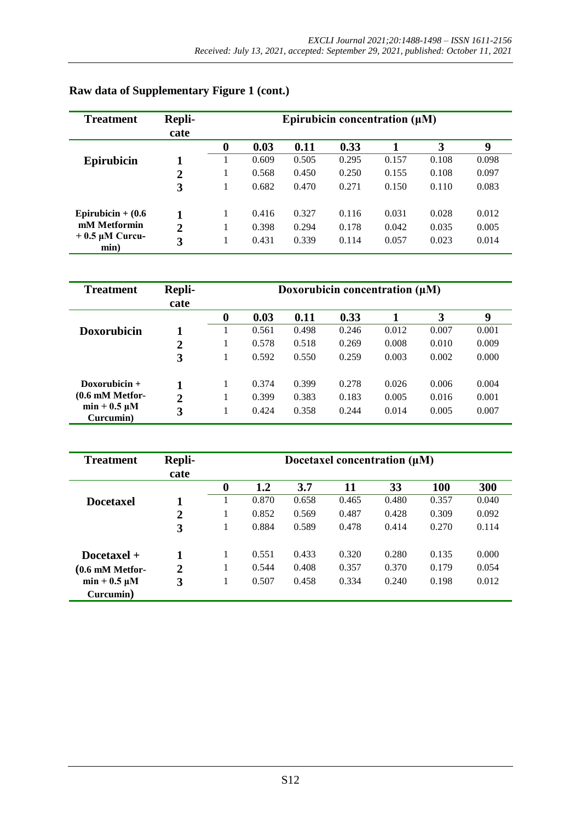| <b>Treatment</b>         | Repli-         | Epirubicin concentration $(\mu M)$ |       |       |       |       |       |       |  |  |  |
|--------------------------|----------------|------------------------------------|-------|-------|-------|-------|-------|-------|--|--|--|
|                          | cate           |                                    |       |       |       |       |       |       |  |  |  |
|                          |                | 0                                  | 0.03  | 0.11  | 0.33  |       | 3     | 9     |  |  |  |
| <b>Epirubicin</b>        |                |                                    | 0.609 | 0.505 | 0.295 | 0.157 | 0.108 | 0.098 |  |  |  |
|                          | $\overline{2}$ |                                    | 0.568 | 0.450 | 0.250 | 0.155 | 0.108 | 0.097 |  |  |  |
|                          | 3              |                                    | 0.682 | 0.470 | 0.271 | 0.150 | 0.110 | 0.083 |  |  |  |
| Epirubicin + $(0.6)$     |                | -1                                 | 0.416 | 0.327 | 0.116 | 0.031 | 0.028 | 0.012 |  |  |  |
| mM Metformin             | $\overline{2}$ |                                    | 0.398 | 0.294 | 0.178 | 0.042 | 0.035 | 0.005 |  |  |  |
| $+0.5$ µM Curcu-<br>min) | 3              |                                    | 0.431 | 0.339 | 0.114 | 0.057 | 0.023 | 0.014 |  |  |  |

### **Raw data of Supplementary Figure 1 (cont.)**

| <b>Treatment</b>               | Repli-         | Doxorubicin concentration $(\mu M)$ |       |       |       |       |       |       |  |  |
|--------------------------------|----------------|-------------------------------------|-------|-------|-------|-------|-------|-------|--|--|
|                                | cate           | $\boldsymbol{0}$                    | 0.03  | 0.11  | 0.33  |       | 3     | 9     |  |  |
| <b>Doxorubicin</b>             |                |                                     | 0.561 | 0.498 | 0.246 | 0.012 | 0.007 | 0.001 |  |  |
|                                | $\overline{2}$ |                                     | 0.578 | 0.518 | 0.269 | 0.008 | 0.010 | 0.009 |  |  |
|                                | 3              |                                     | 0.592 | 0.550 | 0.259 | 0.003 | 0.002 | 0.000 |  |  |
| Doxorubicin $+$                |                |                                     | 0.374 | 0.399 | 0.278 | 0.026 | 0.006 | 0.004 |  |  |
| $(0.6 \text{ mM Metfor}$       | $\overline{2}$ |                                     | 0.399 | 0.383 | 0.183 | 0.005 | 0.016 | 0.001 |  |  |
| $min + 0.5 \mu M$<br>Curcumin) | 3              |                                     | 0.424 | 0.358 | 0.244 | 0.014 | 0.005 | 0.007 |  |  |

| <b>Treatment</b>         | Repli-<br>cate | Docetaxel concentration $(\mu M)$ |       |       |       |       |            |       |  |
|--------------------------|----------------|-----------------------------------|-------|-------|-------|-------|------------|-------|--|
|                          |                | $\boldsymbol{0}$                  | 1.2   | 3.7   | 11    | 33    | <b>100</b> | 300   |  |
| <b>Docetaxel</b>         | 1              |                                   | 0.870 | 0.658 | 0.465 | 0.480 | 0.357      | 0.040 |  |
|                          | $\overline{2}$ |                                   | 0.852 | 0.569 | 0.487 | 0.428 | 0.309      | 0.092 |  |
|                          | 3              | I                                 | 0.884 | 0.589 | 0.478 | 0.414 | 0.270      | 0.114 |  |
| $Docetaxel +$            |                | 1                                 | 0.551 | 0.433 | 0.320 | 0.280 | 0.135      | 0.000 |  |
| $(0.6 \text{ mM Metfor}$ | $\overline{2}$ |                                   | 0.544 | 0.408 | 0.357 | 0.370 | 0.179      | 0.054 |  |
| $min + 0.5 \mu M$        | 3              | 1                                 | 0.507 | 0.458 | 0.334 | 0.240 | 0.198      | 0.012 |  |
| Curcumin)                |                |                                   |       |       |       |       |            |       |  |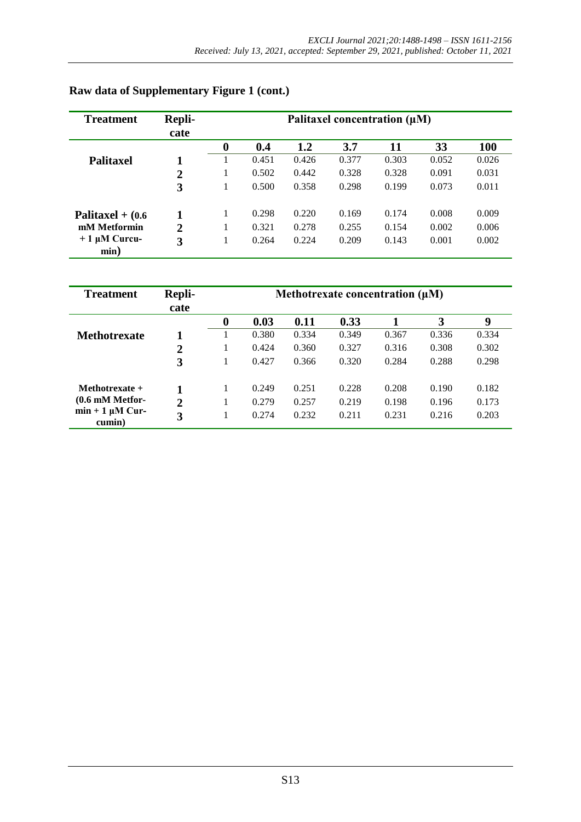| <b>Treatment</b>          | Repli-         | Palitaxel concentration $(\mu M)$ |       |       |       |       |       |            |  |  |
|---------------------------|----------------|-----------------------------------|-------|-------|-------|-------|-------|------------|--|--|
|                           | cate           |                                   |       |       |       |       |       |            |  |  |
|                           |                | 0                                 | 0.4   | 1.2   | 3.7   | 11    | 33    | <b>100</b> |  |  |
| <b>Palitaxel</b>          |                |                                   | 0.451 | 0.426 | 0.377 | 0.303 | 0.052 | 0.026      |  |  |
|                           | $\mathbf{2}$   |                                   | 0.502 | 0.442 | 0.328 | 0.328 | 0.091 | 0.031      |  |  |
|                           | 3              |                                   | 0.500 | 0.358 | 0.298 | 0.199 | 0.073 | 0.011      |  |  |
| Palitaxel $+$ (0.6)       |                |                                   | 0.298 | 0.220 | 0.169 | 0.174 | 0.008 | 0.009      |  |  |
| mM Metformin              | $\overline{2}$ |                                   | 0.321 | 0.278 | 0.255 | 0.154 | 0.002 | 0.006      |  |  |
| $+1 \mu M$ Curcu-<br>min) | 3              |                                   | 0.264 | 0.224 | 0.209 | 0.143 | 0.001 | 0.002      |  |  |

# **Raw data of Supplementary Figure 1 (cont.)**

| <b>Treatment</b>               | Repli-         | Methotrexate concentration $(\mu M)$ |       |       |       |       |       |       |  |  |
|--------------------------------|----------------|--------------------------------------|-------|-------|-------|-------|-------|-------|--|--|
|                                | cate           |                                      |       |       |       |       |       |       |  |  |
|                                |                | $\boldsymbol{0}$                     | 0.03  | 0.11  | 0.33  |       | 3     | 9     |  |  |
| <b>Methotrexate</b>            |                |                                      | 0.380 | 0.334 | 0.349 | 0.367 | 0.336 | 0.334 |  |  |
|                                | $\overline{2}$ |                                      | 0.424 | 0.360 | 0.327 | 0.316 | 0.308 | 0.302 |  |  |
|                                | 3              |                                      | 0.427 | 0.366 | 0.320 | 0.284 | 0.288 | 0.298 |  |  |
| Methotrexate $+$               |                |                                      | 0.249 | 0.251 | 0.228 | 0.208 | 0.190 | 0.182 |  |  |
| $(0.6 \text{ mM Metfor}$       | $\overline{2}$ |                                      | 0.279 | 0.257 | 0.219 | 0.198 | 0.196 | 0.173 |  |  |
| $min + 1 \mu M$ Cur-<br>cumin) | 3              |                                      | 0.274 | 0.232 | 0.211 | 0.231 | 0.216 | 0.203 |  |  |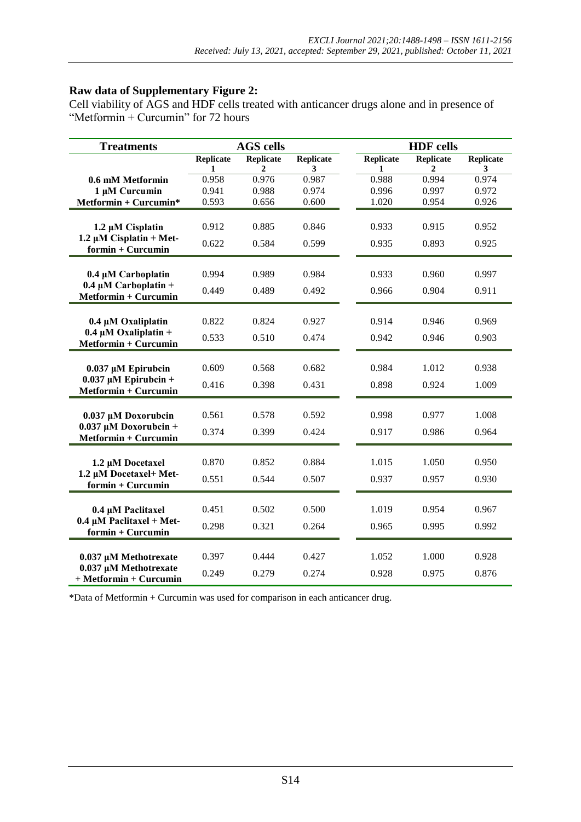#### **Raw data of Supplementary Figure 2:**

Cell viability of AGS and HDF cells treated with anticancer drugs alone and in presence of "Metformin + Curcumin" for 72 hours

| <b>Treatments</b>                                    |            | <b>AGS cells</b>      |                       |                  | <b>HDF</b> cells |                       |
|------------------------------------------------------|------------|-----------------------|-----------------------|------------------|------------------|-----------------------|
|                                                      | Replicate  | Replicate             | <b>Replicate</b>      | <b>Replicate</b> | Replicate        | <b>Replicate</b>      |
| 0.6 mM Metformin                                     | 1<br>0.958 | $\mathbf{2}$<br>0.976 | $\mathbf{3}$<br>0.987 | 1<br>0.988       | 2<br>0.994       | $\mathbf{3}$<br>0.974 |
| 1 µM Curcumin                                        | 0.941      | 0.988                 | 0.974                 | 0.996            | 0.997            | 0.972                 |
| $Mefformin + Curcumin*$                              | 0.593      | 0.656                 | 0.600                 | 1.020            | 0.954            | 0.926                 |
|                                                      |            |                       |                       |                  |                  |                       |
| $1.2 \mu M$ Cisplatin                                | 0.912      | 0.885                 | 0.846                 | 0.933            | 0.915            | 0.952                 |
| 1.2 $\mu$ M Cisplatin + Met-                         | 0.622      | 0.584                 | 0.599                 | 0.935            | 0.893            | 0.925                 |
| formin + Curcumin                                    |            |                       |                       |                  |                  |                       |
|                                                      |            |                       |                       |                  |                  |                       |
| 0.4 µM Carboplatin                                   | 0.994      | 0.989                 | 0.984                 | 0.933            | 0.960            | 0.997                 |
| $0.4 \mu M$ Carboplatin +<br>Metformin + Curcumin    | 0.449      | 0.489                 | 0.492                 | 0.966            | 0.904            | 0.911                 |
|                                                      |            |                       |                       |                  |                  |                       |
| 0.4 µM Oxaliplatin                                   | 0.822      | 0.824                 | 0.927                 | 0.914            | 0.946            | 0.969                 |
| $0.4 \mu M$ Oxaliplatin +                            | 0.533      | 0.510                 | 0.474                 | 0.942            | 0.946            | 0.903                 |
| Metformin + Curcumin                                 |            |                       |                       |                  |                  |                       |
|                                                      |            |                       |                       |                  |                  |                       |
| $0.037 \mu M$ Epirubcin<br>$0.037 \mu M$ Epirubcin + | 0.609      | 0.568                 | 0.682                 | 0.984            | 1.012            | 0.938                 |
| Metformin + Curcumin                                 | 0.416      | 0.398                 | 0.431                 | 0.898            | 0.924            | 1.009                 |
|                                                      |            |                       |                       |                  |                  |                       |
| 0.037 µM Doxorubcin                                  | 0.561      | 0.578                 | 0.592                 | 0.998            | 0.977            | 1.008                 |
| $0.037 \mu M$ Doxorubcin +                           | 0.374      | 0.399                 | 0.424                 | 0.917            | 0.986            | 0.964                 |
| Metformin + Curcumin                                 |            |                       |                       |                  |                  |                       |
|                                                      | 0.870      | 0.852                 | 0.884                 | 1.015            |                  |                       |
| 1.2 µM Docetaxel<br>1.2 µM Docetaxel+ Met-           |            |                       |                       |                  | 1.050            | 0.950                 |
| formin + Curcumin                                    | 0.551      | 0.544                 | 0.507                 | 0.937            | 0.957            | 0.930                 |
|                                                      |            |                       |                       |                  |                  |                       |
| 0.4 µM Paclitaxel                                    | 0.451      | 0.502                 | 0.500                 | 1.019            | 0.954            | 0.967                 |
| $0.4 \mu M$ Paclitaxel + Met-                        | 0.298      | 0.321                 | 0.264                 | 0.965            | 0.995            | 0.992                 |
| formin + Curcumin                                    |            |                       |                       |                  |                  |                       |
|                                                      | 0.397      | 0.444                 | 0.427                 | 1.052            | 1.000            | 0.928                 |
| 0.037 µM Methotrexate<br>0.037 µM Methotrexate       |            |                       |                       |                  |                  |                       |
| + Metformin + Curcumin                               | 0.249      | 0.279                 | 0.274                 | 0.928            | 0.975            | 0.876                 |

\*Data of Metformin + Curcumin was used for comparison in each anticancer drug.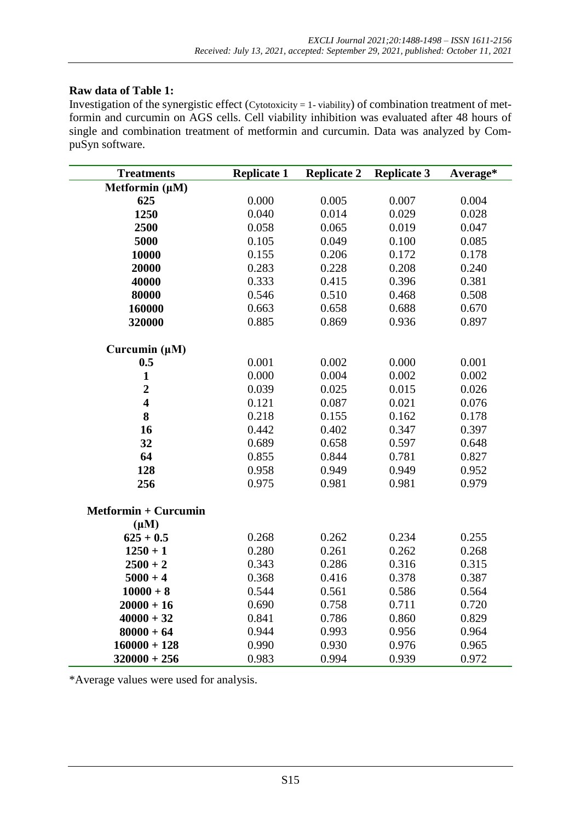### **Raw data of Table 1:**

Investigation of the synergistic effect (Cytotoxicity = 1- viability) of combination treatment of metformin and curcumin on AGS cells. Cell viability inhibition was evaluated after 48 hours of single and combination treatment of metformin and curcumin. Data was analyzed by CompuSyn software.

| <b>Treatments</b>           | <b>Replicate 1</b> | <b>Replicate 2</b> | <b>Replicate 3</b> | Average* |
|-----------------------------|--------------------|--------------------|--------------------|----------|
| Metformin $(\mu M)$         |                    |                    |                    |          |
| 625                         | 0.000              | 0.005              | 0.007              | 0.004    |
| 1250                        | 0.040              | 0.014              | 0.029              | 0.028    |
| 2500                        | 0.058              | 0.065              | 0.019              | 0.047    |
| 5000                        | 0.105              | 0.049              | 0.100              | 0.085    |
| 10000                       | 0.155              | 0.206              | 0.172              | 0.178    |
| 20000                       | 0.283              | 0.228              | 0.208              | 0.240    |
| 40000                       | 0.333              | 0.415              | 0.396              | 0.381    |
| 80000                       | 0.546              | 0.510              | 0.468              | 0.508    |
| 160000                      | 0.663              | 0.658              | 0.688              | 0.670    |
| 320000                      | 0.885              | 0.869              | 0.936              | 0.897    |
| Curcumin $(\mu M)$          |                    |                    |                    |          |
| 0.5                         | 0.001              | 0.002              | 0.000              | 0.001    |
| $\mathbf{1}$                | 0.000              | 0.004              | 0.002              | 0.002    |
| $\boldsymbol{2}$            | 0.039              | 0.025              | 0.015              | 0.026    |
| $\overline{\mathbf{4}}$     | 0.121              | 0.087              | 0.021              | 0.076    |
| 8                           | 0.218              | 0.155              | 0.162              | 0.178    |
| 16                          | 0.442              | 0.402              | 0.347              | 0.397    |
| 32                          | 0.689              | 0.658              | 0.597              | 0.648    |
| 64                          | 0.855              | 0.844              | 0.781              | 0.827    |
| 128                         | 0.958              | 0.949              | 0.949              | 0.952    |
| 256                         | 0.975              | 0.981              | 0.981              | 0.979    |
| <b>Metformin + Curcumin</b> |                    |                    |                    |          |
| $(\mu M)$                   |                    |                    |                    |          |
| $625 + 0.5$                 | 0.268              | 0.262              | 0.234              | 0.255    |
| $1250 + 1$                  | 0.280              | 0.261              | 0.262              | 0.268    |
| $2500 + 2$                  | 0.343              | 0.286              | 0.316              | 0.315    |
| $5000 + 4$                  | 0.368              | 0.416              | 0.378              | 0.387    |
| $10000 + 8$                 | 0.544              | 0.561              | 0.586              | 0.564    |
| $20000 + 16$                | 0.690              | 0.758              | 0.711              | 0.720    |
| $40000 + 32$                | 0.841              | 0.786              | 0.860              | 0.829    |
| $80000 + 64$                | 0.944              | 0.993              | 0.956              | 0.964    |
| $160000 + 128$              | 0.990              | 0.930              | 0.976              | 0.965    |
| $320000 + 256$              | 0.983              | 0.994              | 0.939              | 0.972    |

\*Average values were used for analysis.